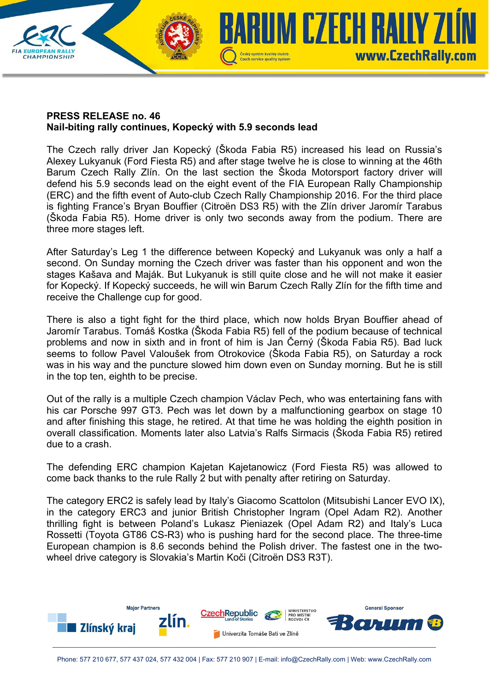

## **PRESS RELEASE no. 46 Nail-biting rally continues, Kopecký with 5.9 seconds lead**

The Czech rally driver Jan Kopecký (Škoda Fabia R5) increased his lead on Russia's Alexey Lukyanuk (Ford Fiesta R5) and after stage twelve he is close to winning at the 46th Barum Czech Rally Zlín. On the last section the Škoda Motorsport factory driver will defend his 5.9 seconds lead on the eight event of the FIA European Rally Championship (ERC) and the fifth event of Auto-club Czech Rally Championship 2016. For the third place is fighting France's Bryan Bouffier (Citroën DS3 R5) with the Zlín driver Jaromír Tarabus (Škoda Fabia R5). Home driver is only two seconds away from the podium. There are three more stages left.

After Saturday's Leg 1 the difference between Kopecký and Lukyanuk was only a half a second. On Sunday morning the Czech driver was faster than his opponent and won the stages Kašava and Maják. But Lukyanuk is still quite close and he will not make it easier for Kopecký. If Kopecký succeeds, he will win Barum Czech Rally Zlín for the fifth time and receive the Challenge cup for good.

There is also a tight fight for the third place, which now holds Bryan Bouffier ahead of Jaromír Tarabus. Tomáš Kostka (Škoda Fabia R5) fell of the podium because of technical problems and now in sixth and in front of him is Jan Černý (Škoda Fabia R5). Bad luck seems to follow Pavel Valoušek from Otrokovice (Škoda Fabia R5), on Saturday a rock was in his way and the puncture slowed him down even on Sunday morning. But he is still in the top ten, eighth to be precise.

Out of the rally is a multiple Czech champion Václav Pech, who was entertaining fans with his car Porsche 997 GT3. Pech was let down by a malfunctioning gearbox on stage 10 and after finishing this stage, he retired. At that time he was holding the eighth position in overall classification. Moments later also Latvia's Ralfs Sirmacis (Škoda Fabia R5) retired due to a crash.

The defending ERC champion Kajetan Kajetanowicz (Ford Fiesta R5) was allowed to come back thanks to the rule Rally 2 but with penalty after retiring on Saturday.

The category ERC2 is safely lead by Italy's Giacomo Scattolon (Mitsubishi Lancer EVO IX), in the category ERC3 and junior British Christopher Ingram (Opel Adam R2). Another thrilling fight is between Poland's Lukasz Pieniazek (Opel Adam R2) and Italy's Luca Rossetti (Toyota GT86 CS-R3) who is pushing hard for the second place. The three-time European champion is 8.6 seconds behind the Polish driver. The fastest one in the twowheel drive category is Slovakia's Martin Koči (Citroën DS3 R3T).